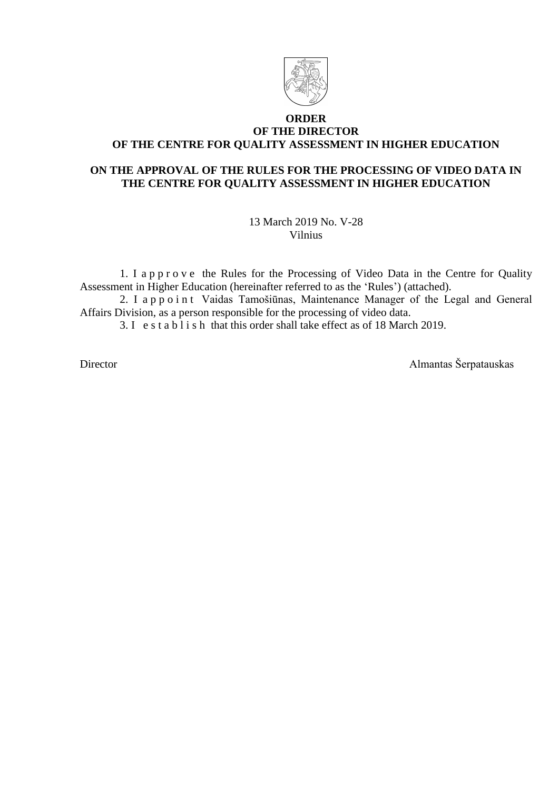

### **ORDER OF THE DIRECTOR OF THE CENTRE FOR QUALITY ASSESSMENT IN HIGHER EDUCATION**

## **ON THE APPROVAL OF THE RULES FOR THE PROCESSING OF VIDEO DATA IN THE CENTRE FOR QUALITY ASSESSMENT IN HIGHER EDUCATION**

13 March 2019 No. V-28 Vilnius

1. I a p p r o v e the Rules for the Processing of Video Data in the Centre for Quality Assessment in Higher Education (hereinafter referred to as the 'Rules') (attached).

2. I a p p o i n t Vaidas Tamošiūnas, Maintenance Manager of the Legal and General Affairs Division, as a person responsible for the processing of video data.

3. I e s t a b l i s h that this order shall take effect as of 18 March 2019.

Director Almantas Šerpatauskas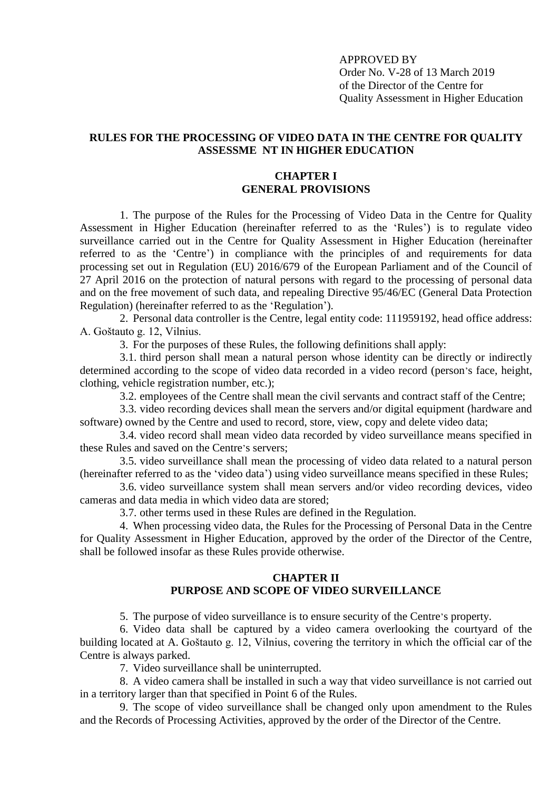APPROVED BY Order No. V-28 of 13 March 2019 of the Director of the Centre for Quality Assessment in Higher Education

### **RULES FOR THE PROCESSING OF VIDEO DATA IN THE CENTRE FOR QUALITY ASSESSME NT IN HIGHER EDUCATION**

### **CHAPTER I GENERAL PROVISIONS**

1. The purpose of the Rules for the Processing of Video Data in the Centre for Quality Assessment in Higher Education (hereinafter referred to as the 'Rules') is to regulate video surveillance carried out in the Centre for Quality Assessment in Higher Education (hereinafter referred to as the 'Centre') in compliance with the principles of and requirements for data processing set out in Regulation (EU) 2016/679 of the European Parliament and of the Council of 27 April 2016 on the protection of natural persons with regard to the processing of personal data and on the free movement of such data, and repealing Directive 95/46/EC (General Data Protection Regulation) (hereinafter referred to as the 'Regulation').

2. Personal data controller is the Centre, legal entity code: 111959192, head office address: A. Goštauto g. 12, Vilnius.

3. For the purposes of these Rules, the following definitions shall apply:

3.1. third person shall mean a natural person whose identity can be directly or indirectly determined according to the scope of video data recorded in a video record (person's face, height, clothing, vehicle registration number, etc.);

3.2. employees of the Centre shall mean the civil servants and contract staff of the Centre;

3.3. video recording devices shall mean the servers and/or digital equipment (hardware and software) owned by the Centre and used to record, store, view, copy and delete video data;

3.4. video record shall mean video data recorded by video surveillance means specified in these Rules and saved on the Centre's servers;

3.5. video surveillance shall mean the processing of video data related to a natural person (hereinafter referred to as the 'video data') using video surveillance means specified in these Rules;

3.6. video surveillance system shall mean servers and/or video recording devices, video cameras and data media in which video data are stored;

3.7. other terms used in these Rules are defined in the Regulation.

4. When processing video data, the Rules for the Processing of Personal Data in the Centre for Quality Assessment in Higher Education, approved by the order of the Director of the Centre, shall be followed insofar as these Rules provide otherwise.

### **CHAPTER II PURPOSE AND SCOPE OF VIDEO SURVEILLANCE**

5. The purpose of video surveillance is to ensure security of the Centre's property.

6. Video data shall be captured by a video camera overlooking the courtyard of the building located at A. Goštauto g. 12, Vilnius, covering the territory in which the official car of the Centre is always parked.

7. Video surveillance shall be uninterrupted.

8. A video camera shall be installed in such a way that video surveillance is not carried out in a territory larger than that specified in Point 6 of the Rules.

9. The scope of video surveillance shall be changed only upon amendment to the Rules and the Records of Processing Activities, approved by the order of the Director of the Centre.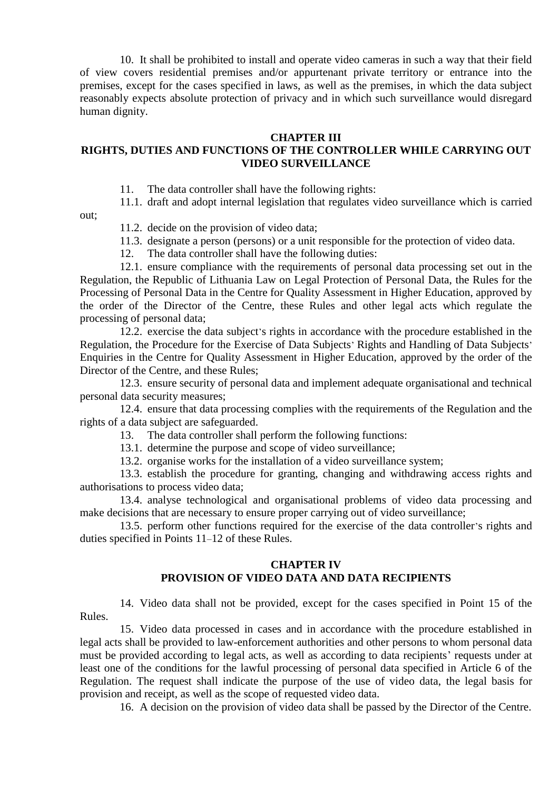10. It shall be prohibited to install and operate video cameras in such a way that their field of view covers residential premises and/or appurtenant private territory or entrance into the premises, except for the cases specified in laws, as well as the premises, in which the data subject reasonably expects absolute protection of privacy and in which such surveillance would disregard human dignity.

#### **CHAPTER III**

# **RIGHTS, DUTIES AND FUNCTIONS OF THE CONTROLLER WHILE CARRYING OUT VIDEO SURVEILLANCE**

11. The data controller shall have the following rights:

11.1. draft and adopt internal legislation that regulates video surveillance which is carried out;

11.2. decide on the provision of video data;

11.3. designate a person (persons) or a unit responsible for the protection of video data.

12. The data controller shall have the following duties:

12.1. ensure compliance with the requirements of personal data processing set out in the Regulation, the Republic of Lithuania Law on Legal Protection of Personal Data, the Rules for the Processing of Personal Data in the Centre for Quality Assessment in Higher Education, approved by the order of the Director of the Centre, these Rules and other legal acts which regulate the processing of personal data;

12.2. exercise the data subject's rights in accordance with the procedure established in the Regulation, the Procedure for the Exercise of Data Subjects' Rights and Handling of Data Subjects' Enquiries in the Centre for Quality Assessment in Higher Education, approved by the order of the Director of the Centre, and these Rules;

12.3. ensure security of personal data and implement adequate organisational and technical personal data security measures;

12.4. ensure that data processing complies with the requirements of the Regulation and the rights of a data subject are safeguarded.

13. The data controller shall perform the following functions:

13.1. determine the purpose and scope of video surveillance;

13.2. organise works for the installation of a video surveillance system;

13.3. establish the procedure for granting, changing and withdrawing access rights and authorisations to process video data;

13.4. analyse technological and organisational problems of video data processing and make decisions that are necessary to ensure proper carrying out of video surveillance;

13.5. perform other functions required for the exercise of the data controller's rights and duties specified in Points 11–12 of these Rules.

## **CHAPTER IV PROVISION OF VIDEO DATA AND DATA RECIPIENTS**

14. Video data shall not be provided, except for the cases specified in Point 15 of the Rules.

15. Video data processed in cases and in accordance with the procedure established in legal acts shall be provided to law-enforcement authorities and other persons to whom personal data must be provided according to legal acts, as well as according to data recipients' requests under at least one of the conditions for the lawful processing of personal data specified in Article 6 of the Regulation. The request shall indicate the purpose of the use of video data, the legal basis for provision and receipt, as well as the scope of requested video data.

16. A decision on the provision of video data shall be passed by the Director of the Centre.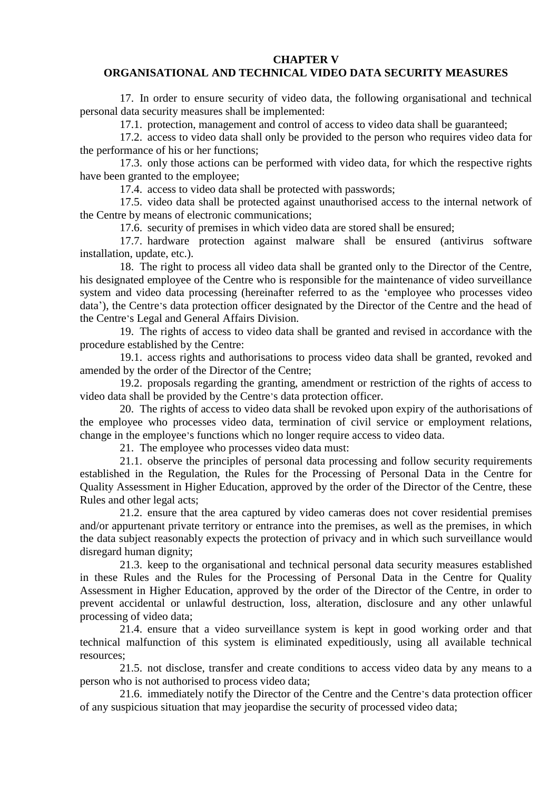**CHAPTER V**

#### **ORGANISATIONAL AND TECHNICAL VIDEO DATA SECURITY MEASURES**

17. In order to ensure security of video data, the following organisational and technical personal data security measures shall be implemented:

17.1. protection, management and control of access to video data shall be guaranteed;

17.2. access to video data shall only be provided to the person who requires video data for the performance of his or her functions;

17.3. only those actions can be performed with video data, for which the respective rights have been granted to the employee;

17.4. access to video data shall be protected with passwords;

17.5. video data shall be protected against unauthorised access to the internal network of the Centre by means of electronic communications;

17.6. security of premises in which video data are stored shall be ensured;

17.7. hardware protection against malware shall be ensured (antivirus software installation, update, etc.).

18. The right to process all video data shall be granted only to the Director of the Centre, his designated employee of the Centre who is responsible for the maintenance of video surveillance system and video data processing (hereinafter referred to as the 'employee who processes video data'), the Centre's data protection officer designated by the Director of the Centre and the head of the Centre's Legal and General Affairs Division.

19. The rights of access to video data shall be granted and revised in accordance with the procedure established by the Centre:

19.1. access rights and authorisations to process video data shall be granted, revoked and amended by the order of the Director of the Centre;

19.2. proposals regarding the granting, amendment or restriction of the rights of access to video data shall be provided by the Centre's data protection officer.

20. The rights of access to video data shall be revoked upon expiry of the authorisations of the employee who processes video data, termination of civil service or employment relations, change in the employee's functions which no longer require access to video data.

21. The employee who processes video data must:

21.1. observe the principles of personal data processing and follow security requirements established in the Regulation, the Rules for the Processing of Personal Data in the Centre for Quality Assessment in Higher Education, approved by the order of the Director of the Centre, these Rules and other legal acts;

21.2. ensure that the area captured by video cameras does not cover residential premises and/or appurtenant private territory or entrance into the premises, as well as the premises, in which the data subject reasonably expects the protection of privacy and in which such surveillance would disregard human dignity;

21.3. keep to the organisational and technical personal data security measures established in these Rules and the Rules for the Processing of Personal Data in the Centre for Quality Assessment in Higher Education, approved by the order of the Director of the Centre, in order to prevent accidental or unlawful destruction, loss, alteration, disclosure and any other unlawful processing of video data;

21.4. ensure that a video surveillance system is kept in good working order and that technical malfunction of this system is eliminated expeditiously, using all available technical resources;

21.5. not disclose, transfer and create conditions to access video data by any means to a person who is not authorised to process video data;

21.6. immediately notify the Director of the Centre and the Centre's data protection officer of any suspicious situation that may jeopardise the security of processed video data;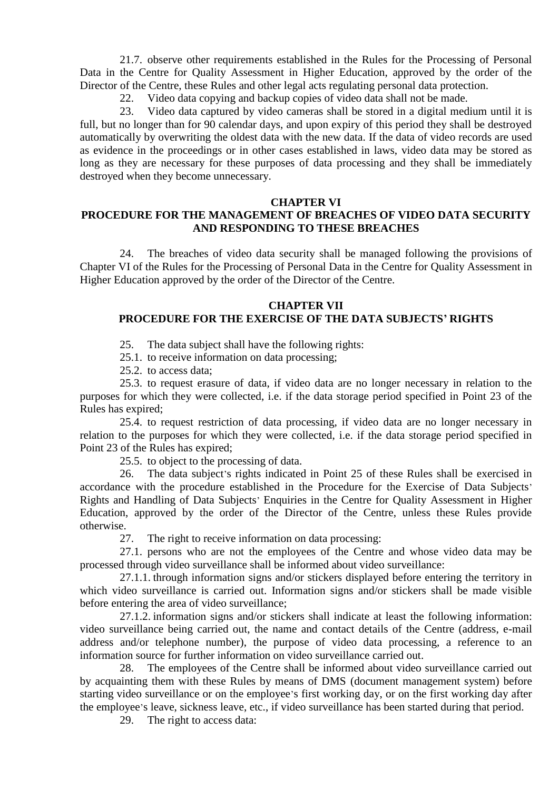21.7. observe other requirements established in the Rules for the Processing of Personal Data in the Centre for Quality Assessment in Higher Education, approved by the order of the Director of the Centre, these Rules and other legal acts regulating personal data protection.

22. Video data copying and backup copies of video data shall not be made.

23. Video data captured by video cameras shall be stored in a digital medium until it is full, but no longer than for 90 calendar days, and upon expiry of this period they shall be destroyed automatically by overwriting the oldest data with the new data. If the data of video records are used as evidence in the proceedings or in other cases established in laws, video data may be stored as long as they are necessary for these purposes of data processing and they shall be immediately destroyed when they become unnecessary.

#### **CHAPTER VI**

## **PROCEDURE FOR THE MANAGEMENT OF BREACHES OF VIDEO DATA SECURITY AND RESPONDING TO THESE BREACHES**

24. The breaches of video data security shall be managed following the provisions of Chapter VI of the Rules for the Processing of Personal Data in the Centre for Quality Assessment in Higher Education approved by the order of the Director of the Centre.

#### **CHAPTER VII**

## **PROCEDURE FOR THE EXERCISE OF THE DATA SUBJECTS' RIGHTS**

25. The data subject shall have the following rights:

25.1. to receive information on data processing;

25.2. to access data;

25.3. to request erasure of data, if video data are no longer necessary in relation to the purposes for which they were collected, i.e. if the data storage period specified in Point 23 of the Rules has expired;

25.4. to request restriction of data processing, if video data are no longer necessary in relation to the purposes for which they were collected, i.e. if the data storage period specified in Point 23 of the Rules has expired;

25.5. to object to the processing of data.

26. The data subject's rights indicated in Point 25 of these Rules shall be exercised in accordance with the procedure established in the Procedure for the Exercise of Data Subjects' Rights and Handling of Data Subjects' Enquiries in the Centre for Quality Assessment in Higher Education, approved by the order of the Director of the Centre, unless these Rules provide otherwise.

27. The right to receive information on data processing:

27.1. persons who are not the employees of the Centre and whose video data may be processed through video surveillance shall be informed about video surveillance:

27.1.1. through information signs and/or stickers displayed before entering the territory in which video surveillance is carried out. Information signs and/or stickers shall be made visible before entering the area of video surveillance;

27.1.2. information signs and/or stickers shall indicate at least the following information: video surveillance being carried out, the name and contact details of the Centre (address, e-mail address and/or telephone number), the purpose of video data processing, a reference to an information source for further information on video surveillance carried out.

28. The employees of the Centre shall be informed about video surveillance carried out by acquainting them with these Rules by means of DMS (document management system) before starting video surveillance or on the employee's first working day, or on the first working day after the employee's leave, sickness leave, etc., if video surveillance has been started during that period.

29. The right to access data: